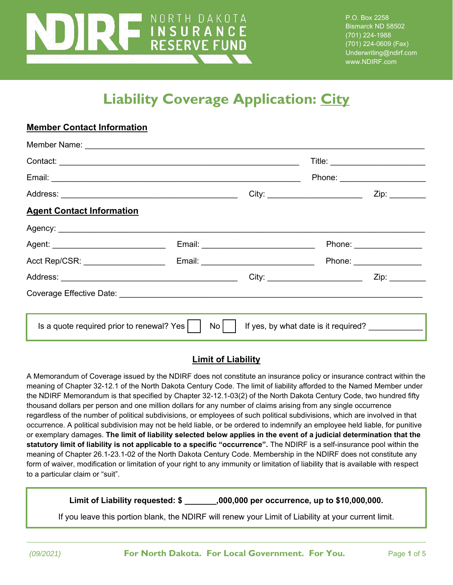

**Member Contact Information**

P.O. Box 2258 Bismarck ND 58502 (701) 224-1988 (701) 224-0609 (Fax) Underwriting@ndirf.com www.NDIRF.com

# **Liability Coverage Application: City**

|                                                   |    |                                        | Phone: ____________________                        |
|---------------------------------------------------|----|----------------------------------------|----------------------------------------------------|
|                                                   |    |                                        | Zip: ________                                      |
| <b>Agent Contact Information</b>                  |    |                                        |                                                    |
|                                                   |    |                                        |                                                    |
| Agent: ________________________________           |    | Email: _______________________________ | Phone: ________________                            |
| Acct Rep/CSR: _____________________               |    |                                        | Phone: ________________                            |
|                                                   |    |                                        | City:                                              |
|                                                   |    |                                        |                                                    |
|                                                   |    |                                        |                                                    |
| Is a quote required prior to renewal? Yes $\vert$ | No |                                        | If yes, by what date is it required? _____________ |

#### **Limit of Liability**

A Memorandum of Coverage issued by the NDIRF does not constitute an insurance policy or insurance contract within the meaning of Chapter 32-12.1 of the North Dakota Century Code. The limit of liability afforded to the Named Member under the NDIRF Memorandum is that specified by Chapter 32-12.1-03(2) of the North Dakota Century Code, two hundred fifty thousand dollars per person and one million dollars for any number of claims arising from any single occurrence regardless of the number of political subdivisions, or employees of such political subdivisions, which are involved in that occurrence. A political subdivision may not be held liable, or be ordered to indemnify an employee held liable, for punitive or exemplary damages. **The limit of liability selected below applies in the event of a judicial determination that the statutory limit of liability is not applicable to a specific "occurrence".** The NDIRF is a self-insurance pool within the meaning of Chapter 26.1-23.1-02 of the North Dakota Century Code. Membership in the NDIRF does not constitute any form of waiver, modification or limitation of your right to any immunity or limitation of liability that is available with respect to a particular claim or "suit".

**Limit of Liability requested: \$ \_\_\_\_\_\_\_,000,000 per occurrence, up to \$10,000,000.**

If you leave this portion blank, the NDIRF will renew your Limit of Liability at your current limit.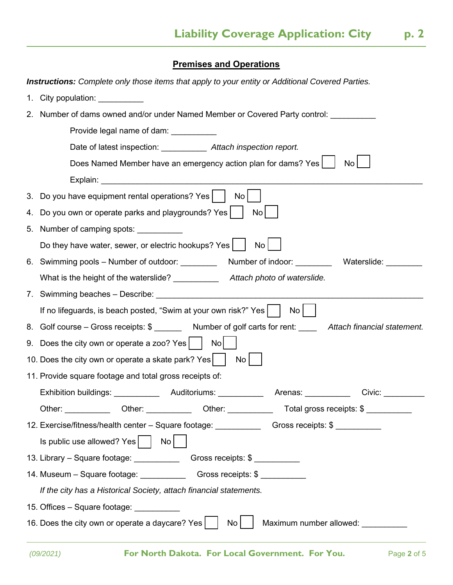**Premises and Operations**

 $\overline{a}$ 

|    | <b>Instructions:</b> Complete only those items that apply to your entity or Additional Covered Parties.                                                                                                                        |  |  |
|----|--------------------------------------------------------------------------------------------------------------------------------------------------------------------------------------------------------------------------------|--|--|
| 1. | City population: <u>contained</u>                                                                                                                                                                                              |  |  |
|    | 2. Number of dams owned and/or under Named Member or Covered Party control:                                                                                                                                                    |  |  |
|    | Provide legal name of dam:                                                                                                                                                                                                     |  |  |
|    | Date of latest inspection: ____________ Attach inspection report.                                                                                                                                                              |  |  |
|    | Does Named Member have an emergency action plan for dams? Yes  <br>No                                                                                                                                                          |  |  |
|    | Explain: Explaint and the state of the state of the state of the state of the state of the state of the state of the state of the state of the state of the state of the state of the state of the state of the state of the s |  |  |
|    | 3. Do you have equipment rental operations? Yes  <br>No                                                                                                                                                                        |  |  |
| 4. | Do you own or operate parks and playgrounds? Yes<br>No                                                                                                                                                                         |  |  |
|    | 5. Number of camping spots:                                                                                                                                                                                                    |  |  |
|    | Do they have water, sewer, or electric hookups? Yes  <br>No                                                                                                                                                                    |  |  |
|    | Number of indoor: Waterslide:<br>6. Swimming pools – Number of outdoor: ________                                                                                                                                               |  |  |
|    | What is the height of the waterslide?<br>Attach photo of waterslide.                                                                                                                                                           |  |  |
|    |                                                                                                                                                                                                                                |  |  |
|    | If no lifeguards, is beach posted, "Swim at your own risk?" Yes  <br>No                                                                                                                                                        |  |  |
|    | 8. Golf course – Gross receipts: \$ _______ Number of golf carts for rent: Attach financial statement.                                                                                                                         |  |  |
|    | 9. Does the city own or operate a zoo? Yes  <br>No l                                                                                                                                                                           |  |  |
|    | 10. Does the city own or operate a skate park? Yes $\vert$<br>No l                                                                                                                                                             |  |  |
|    | 11. Provide square footage and total gross receipts of:                                                                                                                                                                        |  |  |
|    | Exhibition buildings: _________________Auditoriums: _________________Arenas: ___________                                                                                                                                       |  |  |
|    | Other: ____________ Other: ___________ Other: ___________ Total gross receipts: \$ __________                                                                                                                                  |  |  |
|    | 12. Exercise/fitness/health center – Square footage: Changer Cross receipts: \$                                                                                                                                                |  |  |
|    | Is public use allowed? Yes     No                                                                                                                                                                                              |  |  |
|    | 13. Library - Square footage: Change Cross receipts: \$                                                                                                                                                                        |  |  |
|    | 14. Museum - Square footage: _______________________Gross receipts: \$ __________                                                                                                                                              |  |  |
|    | If the city has a Historical Society, attach financial statements.                                                                                                                                                             |  |  |
|    | 15. Offices – Square footage: ___________                                                                                                                                                                                      |  |  |
|    | 16. Does the city own or operate a daycare? Yes $\vert$<br>Maximum number allowed:<br>No                                                                                                                                       |  |  |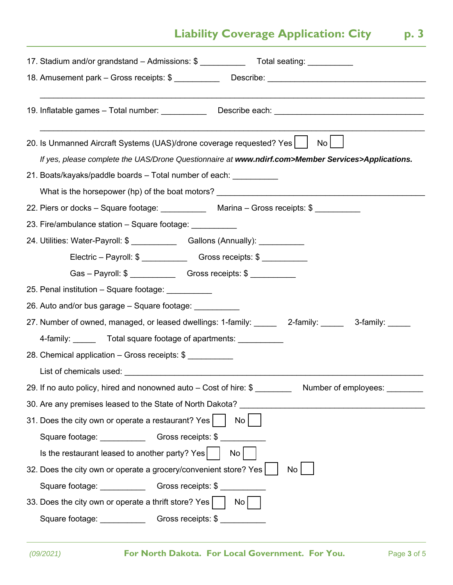## **Liability Coverage Application: City | p. 3**

| 17. Stadium and/or grandstand - Admissions: \$ __________________________________                     |
|-------------------------------------------------------------------------------------------------------|
| 18. Amusement park - Gross receipts: \$ ________________Describe: ___________________________________ |
| 19. Inflatable games - Total number: _____________ Describe each: __________________________________  |
|                                                                                                       |
| 20. Is Unmanned Aircraft Systems (UAS)/drone coverage requested? Yes  <br>$\mathsf{No}$               |
| If yes, please complete the UAS/Drone Questionnaire at www.ndirf.com>Member Services>Applications.    |
| 21. Boats/kayaks/paddle boards – Total number of each: ___________                                    |
| What is the horsepower (hp) of the boat motors? ________________________________                      |
| 22. Piers or docks - Square footage: Marina - Gross receipts: \$                                      |
| 23. Fire/ambulance station - Square footage: __________                                               |
| 24. Utilities: Water-Payroll: \$ __________________Gallons (Annually): __________                     |
|                                                                                                       |
| Gas - Payroll: \$ ____________________Gross receipts: \$ _________________________                    |
| 25. Penal institution - Square footage: __________                                                    |
| 26. Auto and/or bus garage – Square footage:                                                          |
| 27. Number of owned, managed, or leased dwellings: 1-family: ______ 2-family: _____ 3-family: _____   |
| 4-family: _______ Total square footage of apartments: __________                                      |
| 28. Chemical application - Gross receipts: \$                                                         |
|                                                                                                       |
| 29. If no auto policy, hired and nonowned auto – Cost of hire: \$<br>Number of employees:             |
| 30. Are any premises leased to the State of North Dakota?                                             |
| 31. Does the city own or operate a restaurant? Yes<br>No l                                            |
| Square footage: Gross receipts: \$                                                                    |
| Is the restaurant leased to another party? Yes $\vert$<br>No <sub>1</sub>                             |
| 32. Does the city own or operate a grocery/convenient store? Yes  <br>No                              |
| Square footage: ____________________Gross receipts: \$ ______________                                 |
| 33. Does the city own or operate a thrift store? Yes<br>No l                                          |
| Square footage: Change Cross receipts: \$                                                             |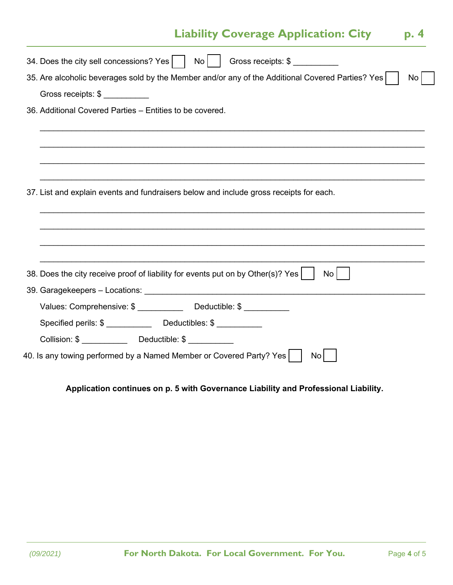### **Liability Coverage Application: City | p. 4**

| 34. Does the city sell concessions? Yes     No    <br>Gross receipts: \$                                            |
|---------------------------------------------------------------------------------------------------------------------|
| 35. Are alcoholic beverages sold by the Member and/or any of the Additional Covered Parties? Yes<br>No <sub>1</sub> |
| Gross receipts: \$                                                                                                  |
| 36. Additional Covered Parties – Entities to be covered.                                                            |
|                                                                                                                     |
|                                                                                                                     |
|                                                                                                                     |
|                                                                                                                     |
| 37. List and explain events and fundraisers below and include gross receipts for each.                              |
|                                                                                                                     |
|                                                                                                                     |
|                                                                                                                     |
|                                                                                                                     |
| 38. Does the city receive proof of liability for events put on by Other(s)? Yes<br>No <sub>1</sub>                  |
|                                                                                                                     |
| Values: Comprehensive: \$ _____________ Deductible: \$ ________                                                     |
|                                                                                                                     |
|                                                                                                                     |
| 40. Is any towing performed by a Named Member or Covered Party? Yes $\vert$<br>No.                                  |
|                                                                                                                     |

#### **Application continues on p. 5 with Governance Liability and Professional Liability.**